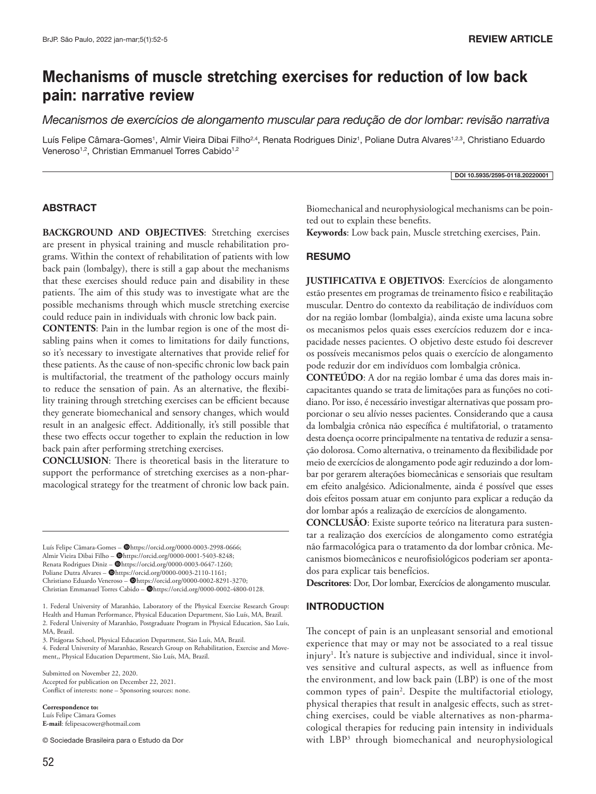# **Mechanisms of muscle stretching exercises for reduction of low back pain: narrative review**

*Mecanismos de exercícios de alongamento muscular para redução de dor lombar: revisão narrativa*

Luís Felipe Câmara-Gomes<sup>1</sup>, Almir Vieira Dibai Filho<sup>2,4</sup>, Renata Rodrigues Diniz<sup>1</sup>, Poliane Dutra Alvares<sup>1,2,3</sup>, Christiano Eduardo Veneroso<sup>1,2</sup>, Christian Emmanuel Torres Cabido<sup>1,2</sup>

#### DOI 10.5935/2595-0118.20220001

# ABSTRACT

**BACKGROUND AND OBJECTIVES**: Stretching exercises are present in physical training and muscle rehabilitation programs. Within the context of rehabilitation of patients with low back pain (lombalgy), there is still a gap about the mechanisms that these exercises should reduce pain and disability in these patients. The aim of this study was to investigate what are the possible mechanisms through which muscle stretching exercise could reduce pain in individuals with chronic low back pain.

**CONTENTS**: Pain in the lumbar region is one of the most disabling pains when it comes to limitations for daily functions, so it's necessary to investigate alternatives that provide relief for these patients. As the cause of non-specific chronic low back pain is multifactorial, the treatment of the pathology occurs mainly to reduce the sensation of pain. As an alternative, the flexibility training through stretching exercises can be efficient because they generate biomechanical and sensory changes, which would result in an analgesic effect. Additionally, it's still possible that these two effects occur together to explain the reduction in low back pain after performing stretching exercises.

**CONCLUSION**: There is theoretical basis in the literature to support the performance of stretching exercises as a non-pharmacological strategy for the treatment of chronic low back pain.

Luís Felipe Câmara-Gomes - @https://orcid.org/0000-0003-2998-0666; Almir Vieira Dibai Filho - @https://orcid.org/0000-0001-5403-8248; Renata Rodrigues Diniz - @https://orcid.org/0000-0003-0647-1260; Poliane Dutra Alvares - Ohttps://orcid.org/0000-0003-2110-1161; Christiano Eduardo Veneroso - @https://orcid.org/0000-0002-8291-3270; Christian Emmanuel Torres Cabido - @https://orcid.org/0000-0002-4800-0128.

1. Federal University of Maranhão, Laboratory of the Physical Exercise Research Group: Health and Human Performance, Physical Education Department, São Luís, MA, Brazil. 2. Federal University of Maranhão, Postgraduate Program in Physical Education, São Luís, MA, Brazil.

3. Pitágoras School, Physical Education Department, São Luís, MA, Brazil.

4. Federal University of Maranhão, Research Group on Rehabilitation, Exercise and Movement,, Physical Education Department, São Luís, MA, Brazil.

Submitted on November 22, 2020. Accepted for publication on December 22, 2021. Conflict of interests: none – Sponsoring sources: none.

**Correspondence to:** 

Luís Felipe Câmara Gomes **E-mail**: felipesacower@hotmail.com

© Sociedade Brasileira para o Estudo da Dor

Biomechanical and neurophysiological mechanisms can be pointed out to explain these benefits.

**Keywords**: Low back pain, Muscle stretching exercises, Pain.

#### RESUMO

**JUSTIFICATIVA E OBJETIVOS**: Exercícios de alongamento estão presentes em programas de treinamento físico e reabilitação muscular. Dentro do contexto da reabilitação de indivíduos com dor na região lombar (lombalgia), ainda existe uma lacuna sobre os mecanismos pelos quais esses exercícios reduzem dor e incapacidade nesses pacientes. O objetivo deste estudo foi descrever os possíveis mecanismos pelos quais o exercício de alongamento pode reduzir dor em indivíduos com lombalgia crônica.

**CONTEÚDO**: A dor na região lombar é uma das dores mais incapacitantes quando se trata de limitações para as funções no cotidiano. Por isso, é necessário investigar alternativas que possam proporcionar o seu alívio nesses pacientes. Considerando que a causa da lombalgia crônica não específica é multifatorial, o tratamento desta doença ocorre principalmente na tentativa de reduzir a sensação dolorosa. Como alternativa, o treinamento da flexibilidade por meio de exercícios de alongamento pode agir reduzindo a dor lombar por gerarem alterações biomecânicas e sensoriais que resultam em efeito analgésico. Adicionalmente, ainda é possível que esses dois efeitos possam atuar em conjunto para explicar a redução da dor lombar após a realização de exercícios de alongamento.

**CONCLUSÃO**: Existe suporte teórico na literatura para sustentar a realização dos exercícios de alongamento como estratégia não farmacológica para o tratamento da dor lombar crônica. Mecanismos biomecânicos e neurofisiológicos poderiam ser apontados para explicar tais benefícios.

**Descritores**: Dor, Dor lombar, Exercícios de alongamento muscular.

#### INTRODUCTION

The concept of pain is an unpleasant sensorial and emotional experience that may or may not be associated to a real tissue injury<sup>1</sup>. It's nature is subjective and individual, since it involves sensitive and cultural aspects, as well as influence from the environment, and low back pain (LBP) is one of the most common types of pain<sup>2</sup>. Despite the multifactorial etiology, physical therapies that result in analgesic effects, such as stretching exercises, could be viable alternatives as non-pharmacological therapies for reducing pain intensity in individuals with LBP3 through biomechanical and neurophysiological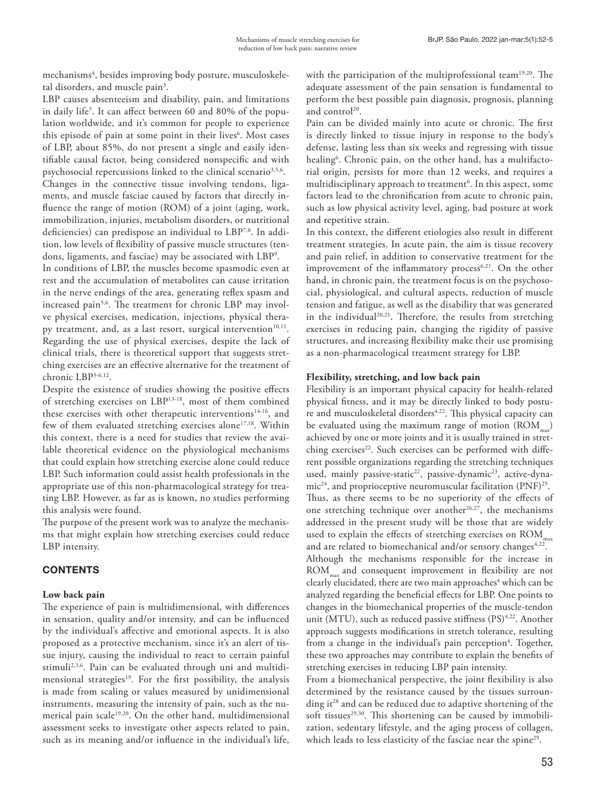mechanisms<sup>4</sup>, besides improving body posture, musculoskeletal disorders, and muscle pain<sup>3</sup>.

LBP causes absenteeism and disability, pain, and limitations in daily life5 . It can affect between 60 and 80% of the population worldwide, and it's common for people to experience this episode of pain at some point in their lives<sup>6</sup>. Most cases of LBP, about 85%, do not present a single and easily identifiable causal factor, being considered nonspecific and with psychosocial repercussions linked to the clinical scenario<sup>3,5,6</sup>.

Changes in the connective tissue involving tendons, ligaments, and muscle fasciae caused by factors that directly influence the range of motion (ROM) of a joint (aging, work, immobilization, injuries, metabolism disorders, or nutritional deficiencies) can predispose an individual to LBP<sup>7,8</sup>. In addition, low levels of flexibility of passive muscle structures (tendons, ligaments, and fasciae) may be associated with LBP9 .

In conditions of LBP, the muscles become spasmodic even at rest and the accumulation of metabolites can cause irritation in the nerve endings of the area, generating reflex spasm and increased pain<sup>5,6</sup>. The treatment for chronic LBP may involve physical exercises, medication, injections, physical therapy treatment, and, as a last resort, surgical intervention<sup>10,11</sup>. Regarding the use of physical exercises, despite the lack of clinical trials, there is theoretical support that suggests stretching exercises are an effective alternative for the treatment of chronic LBP3-6,12.

Despite the existence of studies showing the positive effects of stretching exercises on LBP13-18, most of them combined these exercises with other therapeutic interventions<sup>14-16</sup>, and few of them evaluated stretching exercises alone<sup>17,18</sup>. Within this context, there is a need for studies that review the available theoretical evidence on the physiological mechanisms that could explain how stretching exercise alone could reduce LBP. Such information could assist health professionals in the appropriate use of this non-pharmacological strategy for treating LBP. However, as far as is known, no studies performing this analysis were found.

The purpose of the present work was to analyze the mechanisms that might explain how stretching exercises could reduce LBP intensity.

# **CONTENTS**

# **Low back pain**

The experience of pain is multidimensional, with differences in sensation, quality and/or intensity, and can be influenced by the individual's affective and emotional aspects. It is also proposed as a protective mechanism, since it's an alert of tissue injury, causing the individual to react to certain painful stimuli<sup>2,3,6</sup>. Pain can be evaluated through uni and multidimensional strategies<sup>19</sup>. For the first possibility, the analysis is made from scaling or values measured by unidimensional instruments, measuring the intensity of pain, such as the numerical pain scale19,20. On the other hand, multidimensional assessment seeks to investigate other aspects related to pain, such as its meaning and/or influence in the individual's life,

with the participation of the multiprofessional team<sup>19,20</sup>. The adequate assessment of the pain sensation is fundamental to perform the best possible pain diagnosis, prognosis, planning and control<sup>20</sup>.

Pain can be divided mainly into acute or chronic. The first is directly linked to tissue injury in response to the body's defense, lasting less than six weeks and regressing with tissue healing<sup>6</sup>. Chronic pain, on the other hand, has a multifactorial origin, persists for more than 12 weeks, and requires a multidisciplinary approach to treatment<sup>6</sup>. In this aspect, some factors lead to the chronification from acute to chronic pain, such as low physical activity level, aging, bad posture at work and repetitive strain.

In this context, the different etiologies also result in different treatment strategies. In acute pain, the aim is tissue recovery and pain relief, in addition to conservative treatment for the improvement of the inflammatory process<sup>6,21</sup>. On the other hand, in chronic pain, the treatment focus is on the psychosocial, physiological, and cultural aspects, reduction of muscle tension and fatigue, as well as the disability that was generated in the individual<sup>20,21</sup>. Therefore, the results from stretching exercises in reducing pain, changing the rigidity of passive structures, and increasing flexibility make their use promising as a non-pharmacological treatment strategy for LBP.

# **Flexibility, stretching, and low back pain**

Flexibility is an important physical capacity for health-related physical fitness, and it may be directly linked to body posture and musculoskeletal disorders<sup>4,22</sup>. This physical capacity can be evaluated using the maximum range of motion  $(ROM_{mm})$ achieved by one or more joints and it is usually trained in stretching exercises<sup>22</sup>. Such exercises can be performed with different possible organizations regarding the stretching techniques used, mainly passive-static<sup>22</sup>, passive-dynamic<sup>23</sup>, active-dyna $mic^{24}$ , and proprioceptive neuromuscular facilitation (PNF)<sup>25</sup>. Thus, as there seems to be no superiority of the effects of one stretching technique over another<sup>26,27</sup>, the mechanisms addressed in the present study will be those that are widely used to explain the effects of stretching exercises on  $\text{ROM}_{\text{max}}$ and are related to biomechanical and/or sensory changes<sup>4,22</sup>. Although the mechanisms responsible for the increase in ROM<sub>max</sub> and consequent improvement in flexibility are not clearly elucidated, there are two main approaches<sup>4</sup> which can be analyzed regarding the beneficial effects for LBP. One points to changes in the biomechanical properties of the muscle-tendon unit (MTU), such as reduced passive stiffness (PS)<sup>4,22</sup>. Another approach suggests modifications in stretch tolerance, resulting from a change in the individual's pain perception<sup>4</sup>. Together, these two approaches may contribute to explain the benefits of stretching exercises in reducing LBP pain intensity.

From a biomechanical perspective, the joint flexibility is also determined by the resistance caused by the tissues surrounding it<sup>28</sup> and can be reduced due to adaptive shortening of the soft tissues<sup>29,30</sup>. This shortening can be caused by immobilization, sedentary lifestyle, and the aging process of collagen, which leads to less elasticity of the fasciae near the spine<sup>29</sup>.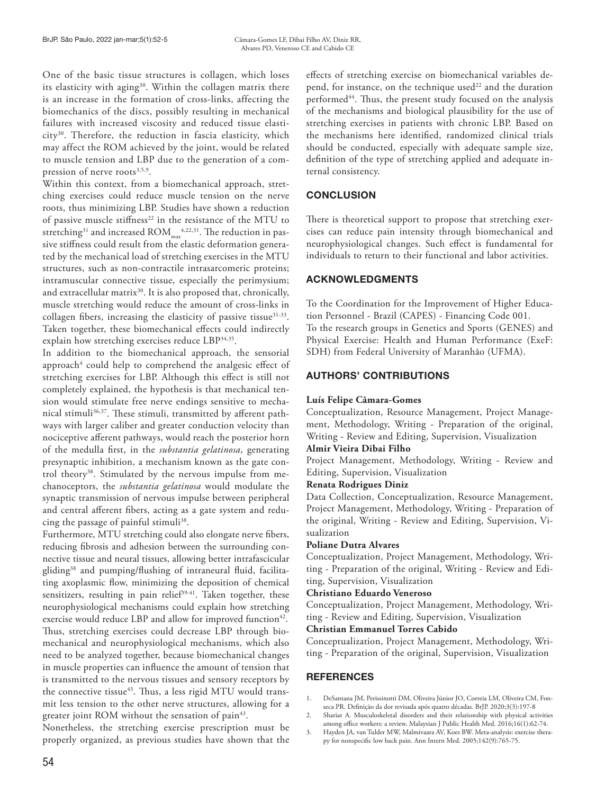One of the basic tissue structures is collagen, which loses its elasticity with aging<sup>30</sup>. Within the collagen matrix there is an increase in the formation of cross-links, affecting the biomechanics of the discs, possibly resulting in mechanical failures with increased viscosity and reduced tissue elasticity30. Therefore, the reduction in fascia elasticity, which may affect the ROM achieved by the joint, would be related to muscle tension and LBP due to the generation of a compression of nerve roots $3,5,9$ .

Within this context, from a biomechanical approach, stretching exercises could reduce muscle tension on the nerve roots, thus minimizing LBP. Studies have shown a reduction of passive muscle stiffness<sup>22</sup> in the resistance of the MTU to stretching $31$  and increased  $\text{ROM}_{\text{max}}^{4,22,31}$ . The reduction in passive stiffness could result from the elastic deformation generated by the mechanical load of stretching exercises in the MTU structures, such as non-contractile intrasarcomeric proteins; intramuscular connective tissue, especially the perimysium; and extracellular matrix<sup>30</sup>. It is also proposed that, chronically, muscle stretching would reduce the amount of cross-links in collagen fibers, increasing the elasticity of passive tissue<sup>31-33</sup>. Taken together, these biomechanical effects could indirectly explain how stretching exercises reduce LBP34,35.

In addition to the biomechanical approach, the sensorial approach $^4$  could help to comprehend the analgesic effect of stretching exercises for LBP. Although this effect is still not completely explained, the hypothesis is that mechanical tension would stimulate free nerve endings sensitive to mechanical stimuli<sup>36,37</sup>. These stimuli, transmitted by afferent pathways with larger caliber and greater conduction velocity than nociceptive afferent pathways, would reach the posterior horn of the medulla first, in the *substantia gelatinosa*, generating presynaptic inhibition, a mechanism known as the gate control theory<sup>38</sup>. Stimulated by the nervous impulse from mechanoceptors, the *substantia gelatinosa* would modulate the synaptic transmission of nervous impulse between peripheral and central afferent fibers, acting as a gate system and reducing the passage of painful stimuli<sup>38</sup>.

Furthermore, MTU stretching could also elongate nerve fibers, reducing fibrosis and adhesion between the surrounding connective tissue and neural tissues, allowing better intrafascicular gliding38 and pumping/flushing of intraneural fluid, facilitating axoplasmic flow, minimizing the deposition of chemical sensitizers, resulting in pain relief $39-41$ . Taken together, these neurophysiological mechanisms could explain how stretching exercise would reduce LBP and allow for improved function<sup>42</sup>. Thus, stretching exercises could decrease LBP through biomechanical and neurophysiological mechanisms, which also need to be analyzed together, because biomechanical changes in muscle properties can influence the amount of tension that is transmitted to the nervous tissues and sensory receptors by the connective tissue<sup>43</sup>. Thus, a less rigid MTU would transmit less tension to the other nerve structures, allowing for a greater joint ROM without the sensation of pain<sup>43</sup>.

Nonetheless, the stretching exercise prescription must be properly organized, as previous studies have shown that the effects of stretching exercise on biomechanical variables depend, for instance, on the technique used<sup>22</sup> and the duration performed<sup>44</sup>. Thus, the present study focused on the analysis of the mechanisms and biological plausibility for the use of stretching exercises in patients with chronic LBP. Based on the mechanisms here identified, randomized clinical trials should be conducted, especially with adequate sample size, definition of the type of stretching applied and adequate internal consistency.

# **CONCLUSION**

There is theoretical support to propose that stretching exercises can reduce pain intensity through biomechanical and neurophysiological changes. Such effect is fundamental for individuals to return to their functional and labor activities.

# ACKNOWLEDGMENTS

To the Coordination for the Improvement of Higher Education Personnel - Brazil (CAPES) - Financing Code 001. To the research groups in Genetics and Sports (GENES) and Physical Exercise: Health and Human Performance (ExeF: SDH) from Federal University of Maranhão (UFMA).

# AUTHORS' CONTRIBUTIONS

# **Luís Felipe Câmara-Gomes**

Conceptualization, Resource Management, Project Management, Methodology, Writing - Preparation of the original, Writing - Review and Editing, Supervision, Visualization

# **Almir Vieira Dibai Filho**

Project Management, Methodology, Writing - Review and Editing, Supervision, Visualization

# **Renata Rodrigues Diniz**

Data Collection, Conceptualization, Resource Management, Project Management, Methodology, Writing - Preparation of the original, Writing - Review and Editing, Supervision, Visualization

# **Poliane Dutra Alvares**

Conceptualization, Project Management, Methodology, Writing - Preparation of the original, Writing - Review and Editing, Supervision, Visualization

# **Christiano Eduardo Veneroso**

Conceptualization, Project Management, Methodology, Writing - Review and Editing, Supervision, Visualization

# **Christian Emmanuel Torres Cabido**

Conceptualization, Project Management, Methodology, Writing - Preparation of the original, Supervision, Visualization

# **REFERENCES**

- 1. DeSantana JM, Perissinotti DM, Oliveira Júnior JO, Correia LM, Oliveira CM, Fonseca PR. Definição da dor revisada após quatro décadas. BrJP. 2020;3(3):197-8
- 2. Shariat A. Musculoskeletal disorders and their relationship with physical activities among office workers: a review. Malaysian J Public Health Med. 2016;16(1):62-74.
- 3. Hayden JA, van Tulder MW, Malmivaara AV, Koes BW. Meta-analysis: exercise therapy for nonspecific low back pain. Ann Intern Med. 2005;142(9):765-75.